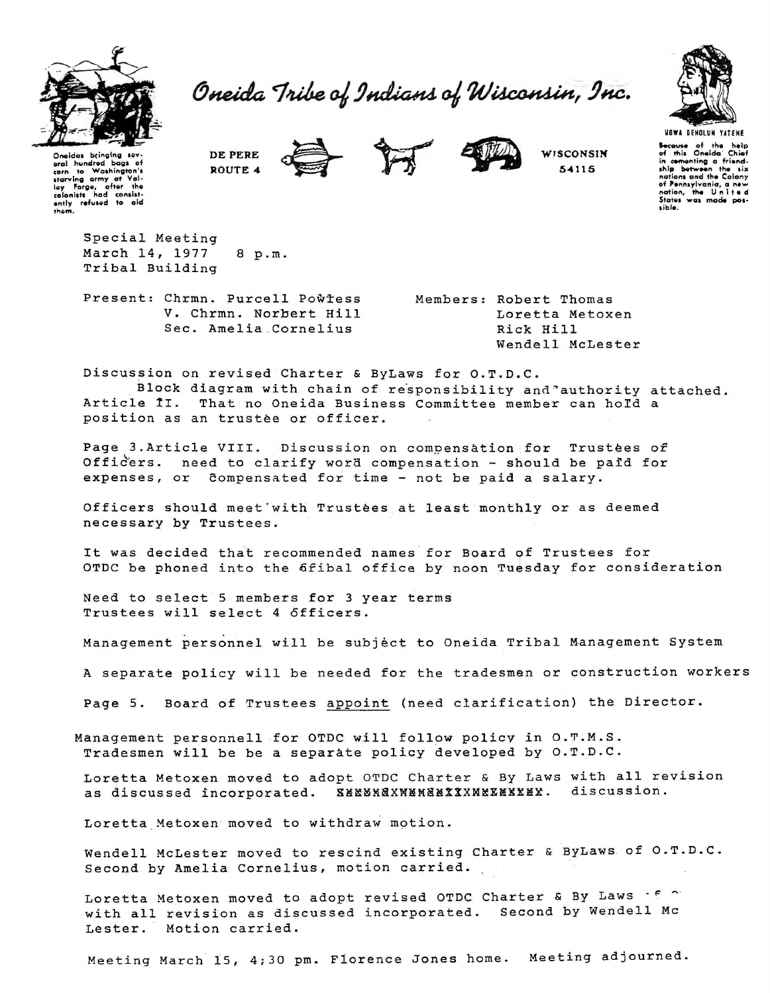

Oneida Tribe of Indians of Wisconsin, Inc.



USWA DENOLUN YATENE Secause of the help<br>of this Oneida Chief in comenting a friend-<br>ship between the six of Pennsylvania, a new<br>nation, the United sible

Oneidas bringing sov-<br>eral hundred bags of corn to Washington's<br>starving army at Valley Forge, after the<br>colonists had consistently refused to aid<br>antly refused to aid<br>them.

> Special Meeting March 14, 1977 8 p.m. Tribal Building

Present: Chrmn. Purcell Powtess V. Chrmn. Norbert Hill Sec. Amelia Cornelius

DE PERE

ROUTE 4

Members: Robert Thomas Loretta Metoxen Rick Hill Wendell McLester

WISCONSIN

54115

Discussion on revised Charter & ByLaws for O.T.D.C.

Block diagram with chain of responsibility and authority attached. Article II. That no Oneida Business Committee member can hold a position as an trustée or officer.

Page 3.Article VIII. Discussion on compensation for Trustees of Officers. need to clarify word compensation - should be paid for expenses, or compensated for time - not be paid a salary.

Officers should meet with Trustees at least monthly or as deemed necessary by Trustees.

It was decided that recommended names for Board of Trustees for OTDC be phoned into the 6fibal office by noon Tuesday for consideration

Need to select 5 members for 3 year terms Trustees will select 4 officers.

Management personnel will be subject to Oneida Tribal Management System

A separate policy will be needed for the tradesmen or construction workers

Page 5. Board of Trustees appoint (need clarification) the Director.

Management personnell for OTDC will follow policy in O.T.M.S. Tradesmen will be be a separate policy developed by O.T.D.C.

Loretta Metoxen moved to adopt OTDC Charter & By Laws with all revision as discussed incorporated. XXXXXXXXXXXXXXXXXXXXXX. discussion.

Loretta Metoxen moved to withdraw motion.

Wendell McLester moved to rescind existing Charter & ByLaws of O.T.D.C. Second by Amelia Cornelius, motion carried.

Loretta Metoxen moved to adopt revised OTDC Charter & By Laws for with all revision as discussed incorporated. Second by Wendell Mc Motion carried. Lester.

Meeting March 15, 4;30 pm. Florence Jones home. Meeting adjourned.